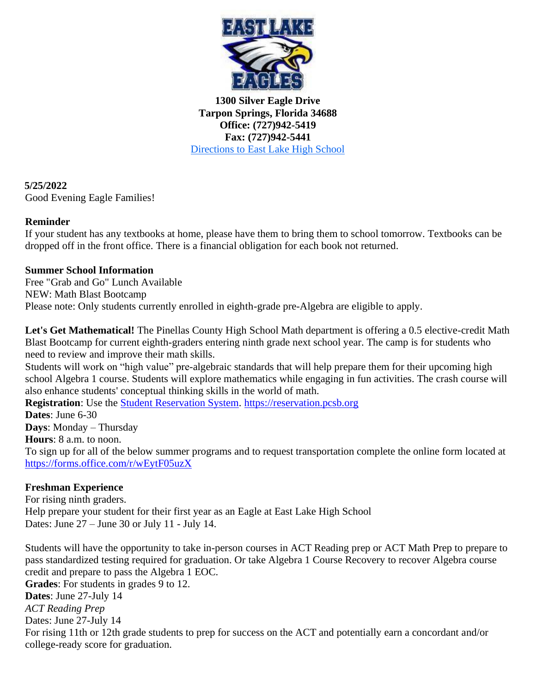

**1300 Silver Eagle Drive Tarpon Springs, Florida 34688 Office: (727)942-5419 Fax: (727)942-5441**  [Directions to East Lake High School](http://www.mapquest.com/maps?city=Tarpon+Springs&state=FL&address=1300+Silver+Eagle+Dr&zipcode=34688-9101&country=US&latitude=28.13028&longitude=-82.69961&geocode=ADDRESS)

**5/25/2022**  Good Evening Eagle Families!

## **Reminder**

If your student has any textbooks at home, please have them to bring them to school tomorrow. Textbooks can be dropped off in the front office. There is a financial obligation for each book not returned.

### **Summer School Information**

Free "Grab and Go" Lunch Available NEW: Math Blast Bootcamp Please note: Only students currently enrolled in eighth-grade pre-Algebra are eligible to apply.

Let's Get Mathematical! The Pinellas County High School Math department is offering a 0.5 elective-credit Math Blast Bootcamp for current eighth-graders entering ninth grade next school year. The camp is for students who need to review and improve their math skills.

Students will work on "high value" pre-algebraic standards that will help prepare them for their upcoming high school Algebra 1 course. Students will explore mathematics while engaging in fun activities. The crash course will also enhance students' conceptual thinking skills in the world of math.

**Registration**: Use the **Student Reservation System.** [https://reservation.pcsb.org](https://reservation.pcsb.org/) **Dates**: June 6-30 **Days**: Monday – Thursday **Hours**: 8 a.m. to noon. To sign up for all of the below summer programs and to request transportation complete the online form located at <https://forms.office.com/r/wEytF05uzX>

# **Freshman Experience**

For rising ninth graders. Help prepare your student for their first year as an Eagle at East Lake High School Dates: June 27 – June 30 or July 11 - July 14.

Students will have the opportunity to take in-person courses in ACT Reading prep or ACT Math Prep to prepare to pass standardized testing required for graduation. Or take Algebra 1 Course Recovery to recover Algebra course credit and prepare to pass the Algebra 1 EOC. **Grades**: For students in grades 9 to 12. **Dates**: June 27-July 14 *ACT Reading Prep* Dates: June 27-July 14 For rising 11th or 12th grade students to prep for success on the ACT and potentially earn a concordant and/or college-ready score for graduation.